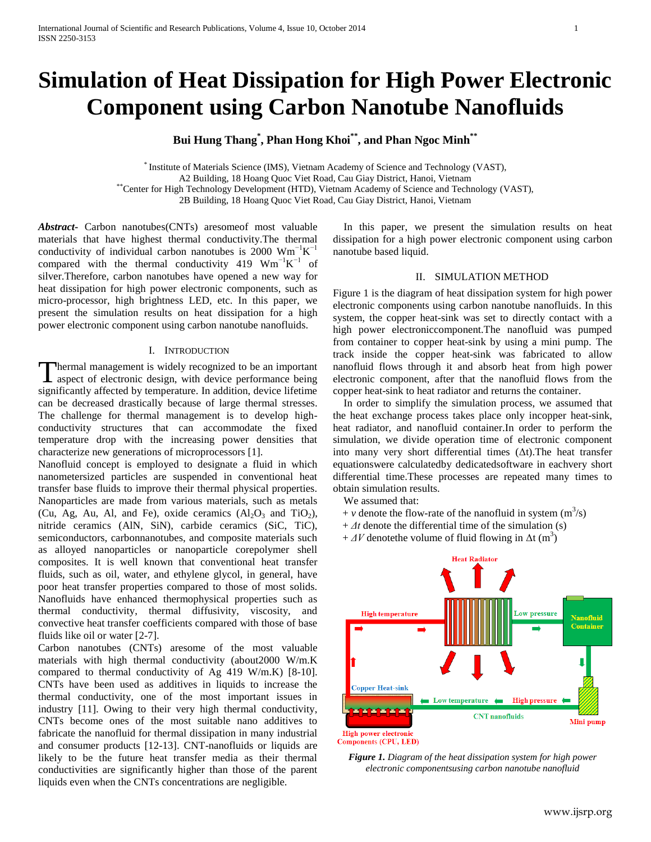# **Simulation of Heat Dissipation for High Power Electronic Component using Carbon Nanotube Nanofluids**

**Bui Hung Thang\* , Phan Hong Khoi\*\* , and Phan Ngoc Minh\*\***

\* Institute of Materials Science (IMS), Vietnam Academy of Science and Technology (VAST), A2 Building, 18 Hoang Quoc Viet Road, Cau Giay District, Hanoi, Vietnam \*\*Center for High Technology Development (HTD), Vietnam Academy of Science and Technology (VAST), 2B Building, 18 Hoang Quoc Viet Road, Cau Giay District, Hanoi, Vietnam

*Abstract***-** Carbon nanotubes(CNTs) aresomeof most valuable materials that have highest thermal conductivity.The thermal conductivity of individual carbon nanotubes is 2000  $Wm^{-1}K^{-1}$ compared with the thermal conductivity 419  $Wm^{-1}K^{-1}$  of silver.Therefore, carbon nanotubes have opened a new way for heat dissipation for high power electronic components, such as micro-processor, high brightness LED, etc. In this paper, we present the simulation results on heat dissipation for a high power electronic component using carbon nanotube nanofluids.

## I. INTRODUCTION

hermal management is widely recognized to be an important Thermal management is widely recognized to be an important<br>aspect of electronic design, with device performance being significantly affected by temperature. In addition, device lifetime can be decreased drastically because of large thermal stresses. The challenge for thermal management is to develop highconductivity structures that can accommodate the fixed temperature drop with the increasing power densities that characterize new generations of microprocessors [1].

Nanofluid concept is employed to designate a fluid in which nanometersized particles are suspended in conventional heat transfer base fluids to improve their thermal physical properties. Nanoparticles are made from various materials, such as metals (Cu, Ag, Au, Al, and Fe), oxide ceramics  $(A<sub>1</sub>, O<sub>3</sub>$  and TiO<sub>2</sub>), nitride ceramics (AlN, SiN), carbide ceramics (SiC, TiC), semiconductors, carbonnanotubes, and composite materials such as alloyed nanoparticles or nanoparticle corepolymer shell composites. It is well known that conventional heat transfer fluids, such as oil, water, and ethylene glycol, in general, have poor heat transfer properties compared to those of most solids. Nanofluids have enhanced thermophysical properties such as thermal conductivity, thermal diffusivity, viscosity, and convective heat transfer coefficients compared with those of base fluids like oil or water [2-7].

Carbon nanotubes (CNTs) aresome of the most valuable materials with high thermal conductivity (about2000 W/m.K compared to thermal conductivity of Ag 419 W/m.K) [8-10]. CNTs have been used as additives in liquids to increase the thermal conductivity, one of the most important issues in industry [11]. Owing to their very high thermal conductivity, CNTs become ones of the most suitable nano additives to fabricate the nanofluid for thermal dissipation in many industrial and consumer products [12-13]. CNT-nanofluids or liquids are likely to be the future heat transfer media as their thermal conductivities are significantly higher than those of the parent liquids even when the CNTs concentrations are negligible.

 In this paper, we present the simulation results on heat dissipation for a high power electronic component using carbon nanotube based liquid.

## II. SIMULATION METHOD

Figure 1 is the diagram of heat dissipation system for high power electronic components using carbon nanotube nanofluids. In this system, the copper heat-sink was set to directly contact with a high power electroniccomponent.The nanofluid was pumped from container to copper heat-sink by using a mini pump. The track inside the copper heat-sink was fabricated to allow nanofluid flows through it and absorb heat from high power electronic component, after that the nanofluid flows from the copper heat-sink to heat radiator and returns the container.

 In order to simplify the simulation process, we assumed that the heat exchange process takes place only incopper heat-sink, heat radiator, and nanofluid container.In order to perform the simulation, we divide operation time of electronic component into many very short differential times  $($ Δt). The heat transfer equationswere calculatedby dedicatedsoftware in eachvery short differential time.These processes are repeated many times to obtain simulation results.

We assumed that:

- $+ v$  denote the flow-rate of the nanofluid in system  $(m^3/s)$
- $+ At$  denote the differential time of the simulation (s)
- $+ \Delta V$  denote the volume of fluid flowing in  $\Delta t$  (m<sup>3</sup>)



*Figure 1. Diagram of the heat dissipation system for high power electronic componentsusing carbon nanotube nanofluid*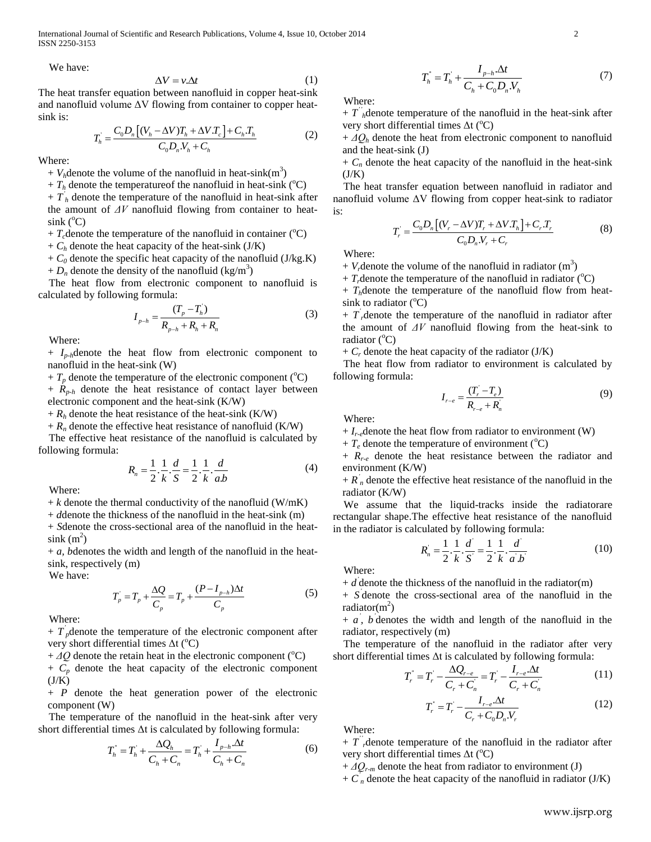International Journal of Scientific and Research Publications, Volume 4, Issue 10, October 2014 2 ISSN 2250-3153

We have:

$$
\Delta V = v \Delta t \tag{1}
$$

The heat transfer equation between nanofluid in copper heat-sink and nanofluid volume  $\Delta V$  flowing from container to copper heatsink is:

$$
T_{h} = \frac{C_{0}D_{n}[(V_{h} - \Delta V)T_{h} + \Delta V.T_{c}] + C_{h}T_{h}}{C_{0}D_{n}V_{h} + C_{h}}
$$
(2)

Where:

 $+ V_h$ denote the volume of the nanofluid in heat-sink(m<sup>3</sup>)

 $+ T_h$  denote the temperature of the nanofluid in heat-sink ( ${}^{\circ}$ C)

 $+ T<sub>h</sub>$  denote the temperature of the nanofluid in heat-sink after the amount of *ΔV* nanofluid flowing from container to heat- $\sin k$  ( $^{\circ}$ C)

 $+ T_c$  denote the temperature of the nanofluid in container ( ${}^{\circ}$ C)

 $+ C_h$  denote the heat capacity of the heat-sink (J/K)

 $+ C_0$  denote the specific heat capacity of the nanofluid (J/kg.K) +  $D_n$  denote the density of the nanofluid (kg/m<sup>3</sup>)

 The heat flow from electronic component to nanofluid is calculated by following formula:

$$
I_{p-h} = \frac{(T_p - T_h)}{R_{p-h} + R_h + R_n}
$$
 (3)

Where:

+ *Ip-h*denote the heat flow from electronic component to nanofluid in the heat-sink (W)

+  $T_p$  denote the temperature of the electronic component ( ${}^{\circ}$ C)

+ *Rp-h* denote the heat resistance of contact layer between electronic component and the heat-sink (K/W)

 $+ R_h$  denote the heat resistance of the heat-sink (K/W)

 $+ R_n$  denote the effective heat resistance of nanofluid (K/W)

 The effective heat resistance of the nanofluid is calculated by following formula:

$$
R_n = \frac{1}{2} \cdot \frac{1}{k} \cdot \frac{d}{S} = \frac{1}{2} \cdot \frac{1}{k} \cdot \frac{d}{ab}
$$
 (4)

Where:

 $+ k$  denote the thermal conductivity of the nanofluid (W/mK)

+ *d*denote the thickness of the nanofluid in the heat-sink (m)

+ *S*denote the cross-sectional area of the nanofluid in the heat- $\sin k(m^2)$ 

+ *a, b*denotes the width and length of the nanofluid in the heatsink, respectively (m)

We have:

$$
T_{p} = T_{p} + \frac{\Delta Q}{C_{p}} = T_{p} + \frac{(P - I_{p-h})\Delta t}{C_{p}}
$$
(5)

Where:

 $+ T_{p}^{'}$  denote the temperature of the electronic component after very short differential times  $\Delta t$  (°C)

 $+ \Delta Q$  denote the retain heat in the electronic component ( $^{\circ}$ C)

 $+ C_p$  denote the heat capacity of the electronic component  $(J/K)$ 

+ *P* denote the heat generation power of the electronic component (W)

 The temperature of the nanofluid in the heat-sink after very short differential times  $\Delta t$  is calculated by following formula:<br> $T^* = T^* + \frac{\Delta Q_h}{T^*} = T^* + \frac{I_{p-h} \Delta t}{T^*}$ 

$$
T_{h}^{*} = T_{h}^{'} + \frac{\Delta Q_{h}}{C_{h} + C_{n}} = T_{h}^{'} + \frac{I_{p-h} \Delta t}{C_{h} + C_{n}}
$$
(6)

$$
T_{h}^{'} = T_{h}^{'} + \frac{I_{p-h}.\Delta t}{C_{h} + C_{0}D_{n}.V_{h}}
$$
 (7)

Where:

 $+ T^{\prime}{}_{h}$  denote temperature of the nanofluid in the heat-sink after very short differential times  $\Delta t$  (<sup>o</sup>C)

 $+ \Delta Q_h$  denote the heat from electronic component to nanofluid and the heat-sink (J)

 $+ C_n$  denote the heat capacity of the nanofluid in the heat-sink  $(J/K)$ 

 The heat transfer equation between nanofluid in radiator and nanofluid volume ΔV flowing from copper heat-sink to radiator is:

$$
T_r = \frac{C_0 D_n [(V_r - \Delta V)T_r + \Delta V T_h] + C_r T_r}{C_0 D_n V_r + C_r}
$$
 (8)

Where:

 $+ V<sub>r</sub>$  denote the volume of the nanofluid in radiator  $(m<sup>3</sup>)$ 

 $+ T<sub>r</sub>$  denote the temperature of the nanofluid in radiator ( $^{\circ}$ C)

 $+ T_h$ denote the temperature of the nanofluid flow from heatsink to radiator  $(^{\circ}C)$ 

 $+ T$ <sup>'</sup>, denote the temperature of the nanofluid in radiator after the amount of *ΔV* nanofluid flowing from the heat-sink to radiator  $(^{\circ}C)$ 

 $+ C_r$  denote the heat capacity of the radiator (J/K)

 The heat flow from radiator to environment is calculated by following formula:

$$
I_{r-e} = \frac{(T_r - T_e)}{R_{r-e} + R_n}
$$
\n(9)

Where:

 $+ I_{r-e}$ denote the heat flow from radiator to environment (W)

 $+ T_e$  denote the temperature of environment ( ${}^{\circ}$ C)

 $+$   $R_{r-e}$  denote the heat resistance between the radiator and environment (K/W)

 $+ R'_n$  denote the effective heat resistance of the nanofluid in the radiator (K/W)

 We assume that the liquid-tracks inside the radiatorare rectangular shape.The effective heat resistance of the nanofluid in the radiator is calculated by following formula:<br> $\frac{b}{b} - \frac{1}{1} \frac{1}{d} \frac{d}{1} - \frac{1}{d}$ 

$$
R_n = \frac{1}{2} \cdot \frac{1}{k} \cdot \frac{d}{S} = \frac{1}{2} \cdot \frac{1}{k} \cdot \frac{d}{a \cdot b}
$$
 (10)

Where:

 $+ d$ <sup>'</sup> denote the thickness of the nanofluid in the radiator(m)

+ *S '* denote the cross-sectional area of the nanofluid in the radiator $(m^2)$ 

 $+ a$ , *b*<sup>'</sup> denotes the width and length of the nanofluid in the radiator, respectively (m)

The temperature of the nanofluid in the radiator after very

short differential times 
$$
\Delta t
$$
 is calculated by following formula:  
\n
$$
T_r = T_r' - \frac{\Delta Q_{r-e}}{C_r + C_n'} = T_r' - \frac{I_{r-e} \Delta t}{C_r + C_n'} \tag{11}
$$

$$
T_r^{\dagger} = T_r - \frac{I_{r-e} \Delta t}{C_r + C_0 D_n V_r}
$$
 (12)

Where:

 $+ T^{\prime}$ , denote temperature of the nanofluid in the radiator after very short differential times  $\Delta t$  (°C)

 $+ \Delta Q_{r-m}$  denote the heat from radiator to environment (J)

 $+ C<sub>n</sub>$  denote the heat capacity of the nanofluid in radiator (J/K)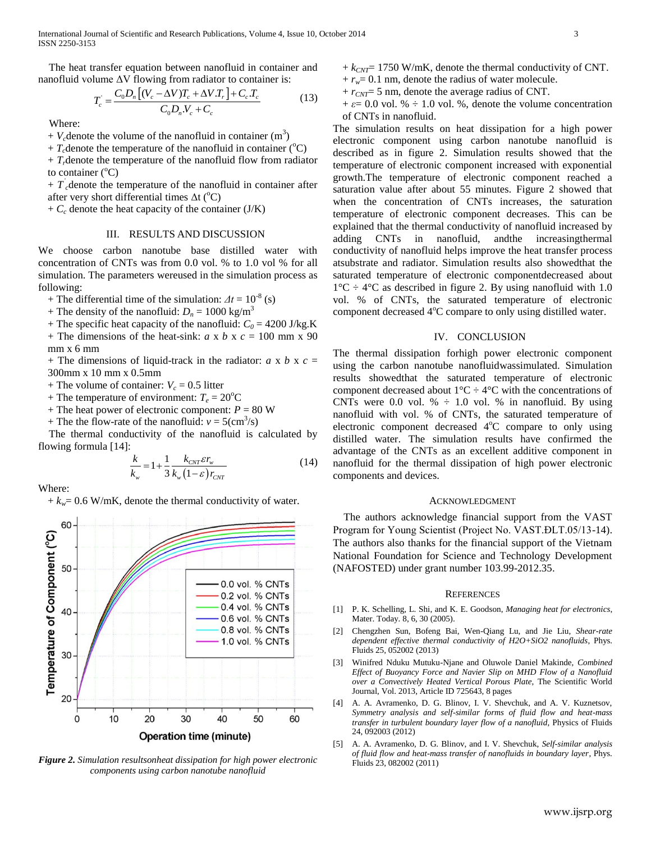The heat transfer equation between nanofluid in container and

nanofluid volume 
$$
\Delta V
$$
 flowing from radiator to container is:  
\n
$$
T_c = \frac{C_0 D_n \left[ (V_c - \Delta V) T_c + \Delta V T_r \right] + C_c T_c}{C_0 D_n V_c + C_c}
$$
\n(13)

Where:

 $+ V_c$  denote the volume of the nanofluid in container  $(m^3)$ 

+  $T_c$  denote the temperature of the nanofluid in container ( ${}^{\circ}$ C)

 $+ T<sub>r</sub>$  denote the temperature of the nanofluid flow from radiator to container  $(^{\circ}C)$ 

 $+ T_c$  denote the temperature of the nanofluid in container after after very short differential times  $\Delta t$  (<sup>o</sup>C)

 $+ C_c$  denote the heat capacity of the container (J/K)

# III. RESULTS AND DISCUSSION

We choose carbon nanotube base distilled water with concentration of CNTs was from 0.0 vol. % to 1.0 vol % for all simulation. The parameters wereused in the simulation process as following:

+ The differential time of the simulation:  $\Delta t = 10^{-8}$  (s)

+ The density of the nanofluid:  $D_n = 1000 \text{ kg/m}^3$ 

- + The specific heat capacity of the nanofluid:  $C_0 = 4200$  J/kg.K
- + The dimensions of the heat-sink:  $a \times b \times c = 100$  mm  $\times$  90 mm x 6 mm

+ The dimensions of liquid-track in the radiator:  $a \times b \times c =$ 300mm x 10 mm x 0.5mm

+ The volume of container:  $V_c = 0.5$  litter

- + The temperature of environment:  $T_e = 20^{\circ}$ C
- + The heat power of electronic component:  $P = 80$  W

+ The the flow-rate of the nanofluid:  $v = 5 \text{(cm}^3\text{/s)}$ 

 The thermal conductivity of the nanofluid is calculated by flowing formula [14]:

$$
\frac{k}{k_w} = 1 + \frac{1}{3} \frac{k_{\text{CNT}} \varepsilon r_w}{k_w (1 - \varepsilon) r_{\text{CNT}}}
$$
\n(14)

Where:

 $+ k_w = 0.6$  W/mK, denote the thermal conductivity of water.



*Figure 2. Simulation resultsonheat dissipation for high power electronic components using carbon nanotube nanofluid*

- $+ k_{CNT}$  1750 W/mK, denote the thermal conductivity of CNT.  $+r_w = 0.1$  nm, denote the radius of water molecule.
- + *rCNT*= 5 nm, denote the average radius of CNT.

 $+ \varepsilon = 0.0$  vol. %  $\div$  1.0 vol. %, denote the volume concentration of CNTs in nanofluid.

The simulation results on heat dissipation for a high power electronic component using carbon nanotube nanofluid is described as in figure 2. Simulation results showed that the temperature of electronic component increased with exponential growth.The temperature of electronic component reached a saturation value after about 55 minutes. Figure 2 showed that when the concentration of CNTs increases, the saturation temperature of electronic component decreases. This can be explained that the thermal conductivity of nanofluid increased by adding CNTs in nanofluid, andthe increasingthermal conductivity of nanofluid helps improve the heat transfer process atsubstrate and radiator. Simulation results also showedthat the saturated temperature of electronic componentdecreased about  $1^{\circ}$ C ÷ 4 $^{\circ}$ C as described in figure 2. By using nanofluid with 1.0 vol. % of CNTs, the saturated temperature of electronic component decreased 4°C compare to only using distilled water.

## IV. CONCLUSION

The thermal dissipation forhigh power electronic component using the carbon nanotube nanofluidwassimulated. Simulation results showedthat the saturated temperature of electronic component decreased about  $1^{\circ}C \div 4^{\circ}C$  with the concentrations of CNTs were 0.0 vol.  $% \div 1.0$  vol. % in nanofluid. By using nanofluid with vol. % of CNTs, the saturated temperature of electronic component decreased 4°C compare to only using distilled water. The simulation results have confirmed the advantage of the CNTs as an excellent additive component in nanofluid for the thermal dissipation of high power electronic components and devices.

#### ACKNOWLEDGMENT

The authors acknowledge financial support from the VAST Program for Young Scientist (Project No. VAST.ĐLT.05/13-14). The authors also thanks for the financial support of the Vietnam National Foundation for Science and Technology Development (NAFOSTED) under grant number 103.99-2012.35.

# **REFERENCES**

- [1] P. K. Schelling, L. Shi, and K. E. Goodson, *Managing heat for electronics*, Mater. Today. 8, 6, 30 (2005).
- [2] Chengzhen Sun, Bofeng Bai, Wen-Qiang Lu, and Jie Liu, *Shear-rate dependent effective thermal conductivity of H2O+SiO2 nanofluids*, Phys. Fluids 25, 052002 (2013)
- [3] Winifred Nduku Mutuku-Njane and Oluwole Daniel Makinde, *Combined Effect of Buoyancy Force and Navier Slip on MHD Flow of a Nanofluid over a Convectively Heated Vertical Porous Plate*, The Scientific World Journal, Vol. 2013, Article ID 725643, 8 pages
- A. A. Avramenko, D. G. Blinov, I. V. Shevchuk, and A. V. Kuznetsov, *Symmetry analysis and self-similar forms of fluid flow and heat-mass transfer in turbulent boundary layer flow of a nanofluid*, Physics of Fluids 24, 092003 (2012)
- [5] A. A. Avramenko, D. G. Blinov, and I. V. Shevchuk, *Self-similar analysis of fluid flow and heat-mass transfer of nanofluids in boundary layer*, Phys. Fluids 23, 082002 (2011)